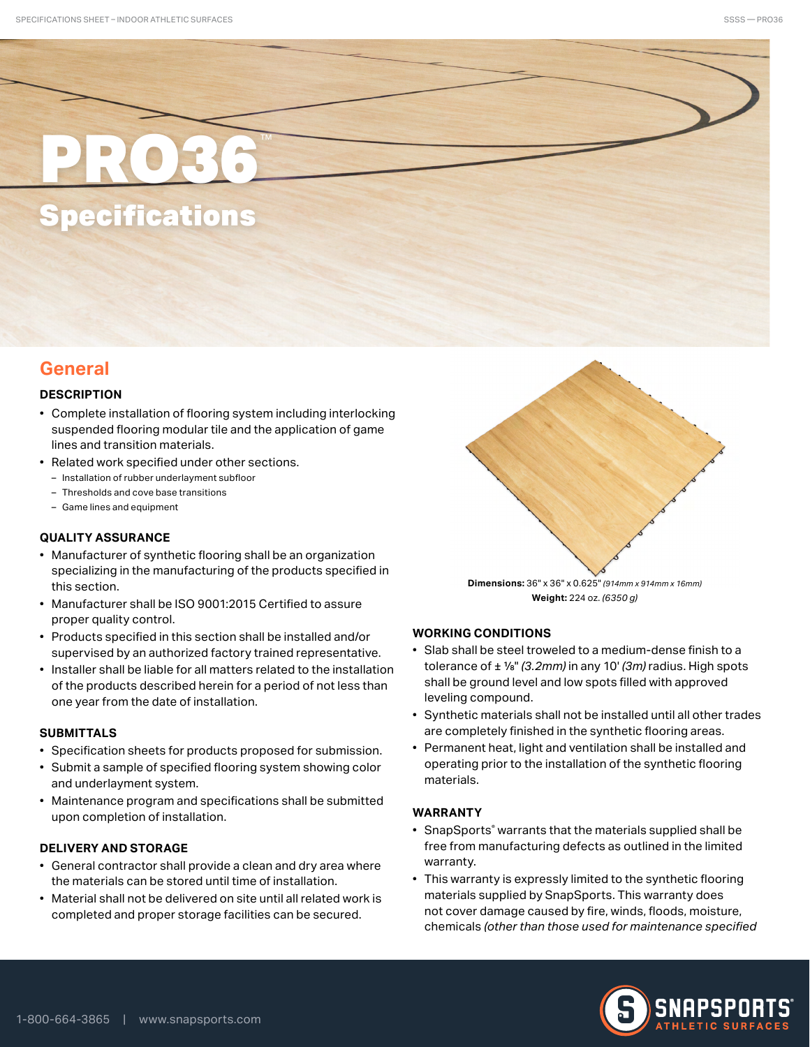# PRO36 Specifications

## **General**

## **DESCRIPTION**

- Complete installation of flooring system including interlocking suspended flooring modular tile and the application of game lines and transition materials.
- Related work specified under other sections.
	- Installation of rubber underlayment subfloor
	- Thresholds and cove base transitions
	- Game lines and equipment

## **QUALITY ASSURANCE**

- Manufacturer of synthetic flooring shall be an organization specializing in the manufacturing of the products specified in this section.
- Manufacturer shall be ISO 9001:2015 Certified to assure proper quality control.
- Products specified in this section shall be installed and/or supervised by an authorized factory trained representative.
- Installer shall be liable for all matters related to the installation of the products described herein for a period of not less than one year from the date of installation.

## **SUBMITTALS**

- Specification sheets for products proposed for submission.
- Submit a sample of specified flooring system showing color and underlayment system.
- Maintenance program and specifications shall be submitted upon completion of installation.

## **DELIVERY AND STORAGE**

- General contractor shall provide a clean and dry area where the materials can be stored until time of installation.
- Material shall not be delivered on site until all related work is completed and proper storage facilities can be secured.



**Weight:** 224 oz. *(6350 g)*

## **WORKING CONDITIONS**

- Slab shall be steel troweled to a medium-dense finish to a tolerance of ± 1/8" *(3.2mm)* in any 10' *(3m)* radius. High spots shall be ground level and low spots filled with approved leveling compound.
- Synthetic materials shall not be installed until all other trades are completely finished in the synthetic flooring areas.
- Permanent heat, light and ventilation shall be installed and operating prior to the installation of the synthetic flooring materials.

## **WARRANTY**

- SnapSports® warrants that the materials supplied shall be free from manufacturing defects as outlined in the limited warranty.
- This warranty is expressly limited to the synthetic flooring materials supplied by SnapSports. This warranty does not cover damage caused by fire, winds, floods, moisture, chemicals *(other than those used for maintenance specified*



SSSS — PRO36